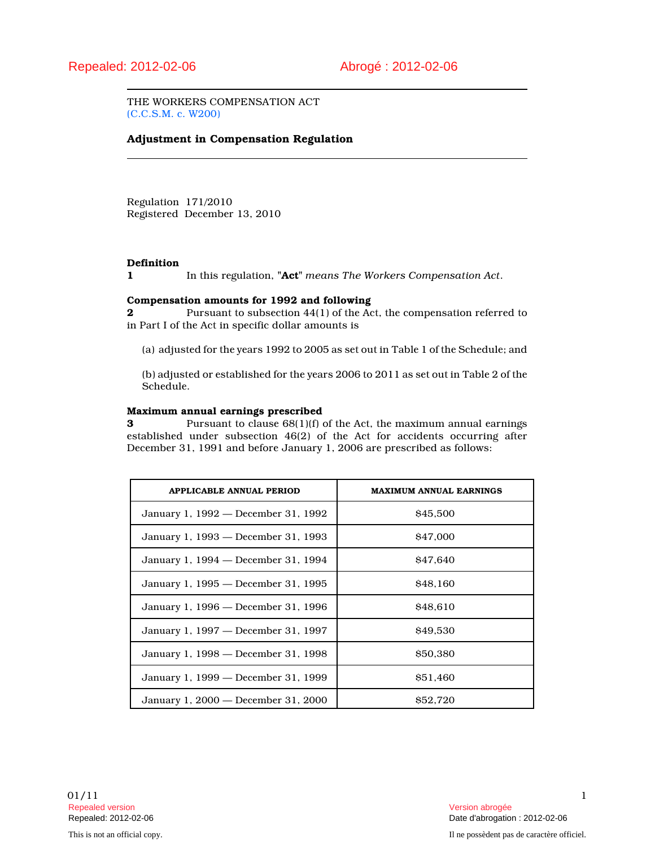THE WORKERS COMPENSATION ACT (C.C.S.M. c. W200)

## Adjustment in Compensation Regulation

Regulation 171/2010 Registered December 13, 2010

#### Definition

1 In this regulation, "Act" means The Workers Compensation Act.

## Compensation amounts for 1992 and following

2 Pursuant to subsection 44(1) of the Act, the compensation referred to in Part I of the Act in specific dollar amounts is

(a) adjusted for the years 1992 to 2005 as set out in Table 1 of the Schedule; and

(b) adjusted or established for the years 2006 to 2011 as set out in Table 2 of the Schedule.

#### Maximum annual earnings prescribed

3 Pursuant to clause 68(1)(f) of the Act, the maximum annual earnings established under subsection 46(2) of the Act for accidents occurring after December 31, 1991 and before January 1, 2006 are prescribed as follows:

| APPLICABLE ANNUAL PERIOD            | <b>MAXIMUM ANNUAL EARNINGS</b> |
|-------------------------------------|--------------------------------|
| January 1, 1992 — December 31, 1992 | \$45,500                       |
| January 1, 1993 — December 31, 1993 | \$47,000                       |
| January 1, 1994 — December 31, 1994 | <b>\$47,640</b>                |
| January 1, 1995 — December 31, 1995 | <b>S<sub>48</sub></b> .160     |
| January 1, 1996 — December 31, 1996 | \$48.610                       |
| January 1, 1997 — December 31, 1997 | \$49,530                       |
| January 1, 1998 — December 31, 1998 | \$50,380                       |
| January 1, 1999 — December 31, 1999 | \$51.460                       |
| January 1, 2000 — December 31, 2000 | <b>S52.720</b>                 |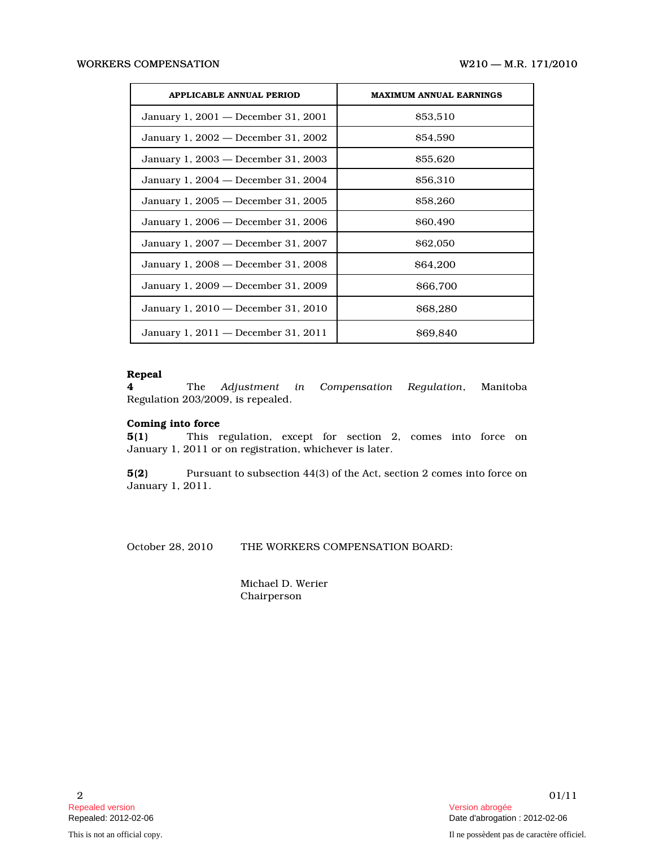| <b>APPLICABLE ANNUAL PERIOD</b>     | <b>MAXIMUM ANNUAL EARNINGS</b> |
|-------------------------------------|--------------------------------|
| January 1, 2001 — December 31, 2001 | \$53,510                       |
| January 1, 2002 - December 31, 2002 | \$54.590                       |
| January 1, 2003 — December 31, 2003 | \$55,620                       |
| January 1, 2004 — December 31, 2004 | \$56,310                       |
| January 1, 2005 — December 31, 2005 | \$58,260                       |
| January 1, 2006 — December 31, 2006 | <b>S60.490</b>                 |
| January 1, 2007 — December 31, 2007 | <b>S62.050</b>                 |
| January 1, 2008 — December 31, 2008 | <b>\$64,200</b>                |
| January 1, 2009 — December 31, 2009 | \$66,700                       |
| January 1, 2010 — December 31, 2010 | \$68,280                       |
| January 1, 2011 — December 31, 2011 | <b>\$69,840</b>                |

## Repeal

4 The Adjustment in Compensation Regulation, Manitoba Regulation 203/2009, is repealed.

## Coming into force

5(1) This regulation, except for section 2, comes into force on January 1, 2011 or on registration, whichever is later.

5(2) Pursuant to subsection 44(3) of the Act, section 2 comes into force on January 1, 2011.

October 28, 2010 THE WORKERS COMPENSATION BOARD:

Michael D. Werier Chairperson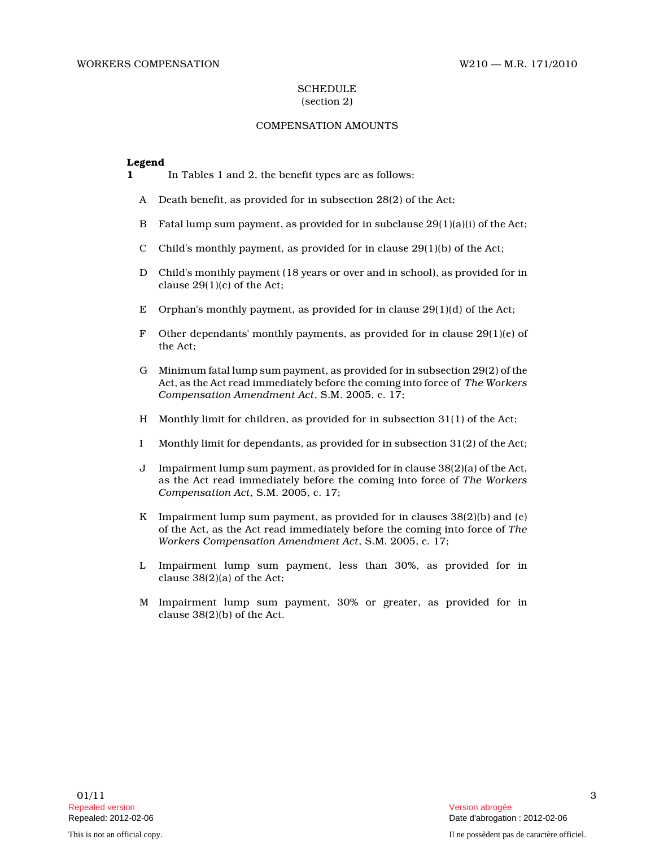#### **SCHEDULE** (section 2)

## COMPENSATION AMOUNTS

## Legend

- 1 In Tables 1 and 2, the benefit types are as follows:
	- A Death benefit, as provided for in subsection 28(2) of the Act;
	- B Fatal lump sum payment, as provided for in subclause 29(1)(a)(i) of the Act;
	- C Child's monthly payment, as provided for in clause  $29(1)(b)$  of the Act;
	- D Child's monthly payment (18 years or over and in school), as provided for in clause 29(1)(c) of the Act;
	- E Orphan's monthly payment, as provided for in clause 29(1)(d) of the Act;
	- F Other dependants' monthly payments, as provided for in clause 29(1)(e) of the Act;
	- G Minimum fatal lump sum payment, as provided for in subsection 29(2) of the Act, as the Act read immediately before the coming into force of The Workers Compensation Amendment Act, S.M. 2005, c. 17;
	- H Monthly limit for children, as provided for in subsection 31(1) of the Act;
	- I Monthly limit for dependants, as provided for in subsection 31(2) of the Act;
	- J Impairment lump sum payment, as provided for in clause 38(2)(a) of the Act, as the Act read immediately before the coming into force of The Workers Compensation Act, S.M. 2005, c. 17;
	- K Impairment lump sum payment, as provided for in clauses 38(2)(b) and (c) of the Act, as the Act read immediately before the coming into force of The Workers Compensation Amendment Act, S.M. 2005, c. 17;
	- L Impairment lump sum payment, less than 30%, as provided for in clause 38(2)(a) of the Act;
	- M Impairment lump sum payment, 30% or greater, as provided for in clause 38(2)(b) of the Act.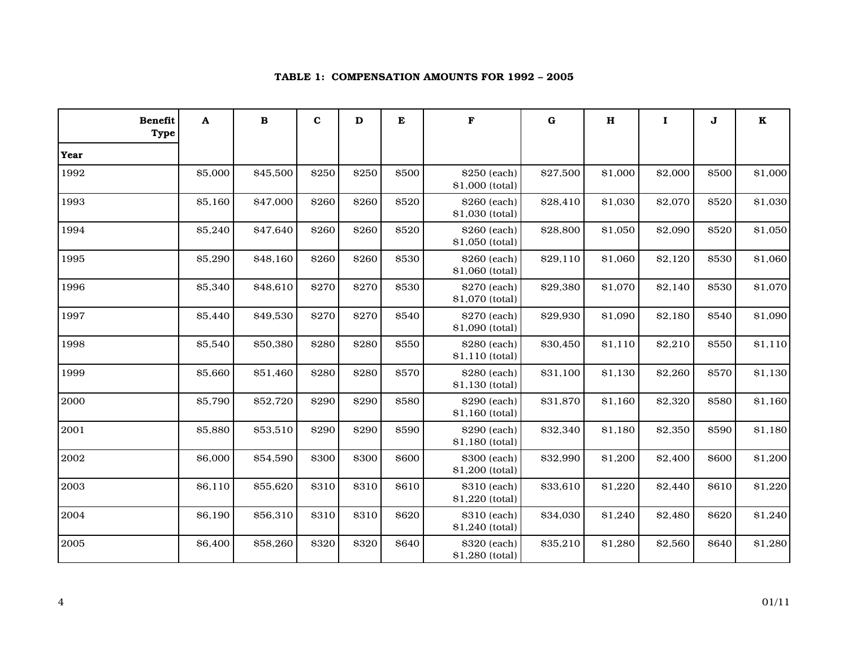| <b>Benefit</b><br><b>Type</b> | $\mathbf{A}$ | $\, {\bf B}$ | $\mathbf{C}$ | D     | ${\bf E}$ | F                               | $\bf G$  | H       | $\mathbf I$ | J     | $\mathbf K$ |
|-------------------------------|--------------|--------------|--------------|-------|-----------|---------------------------------|----------|---------|-------------|-------|-------------|
| Year                          |              |              |              |       |           |                                 |          |         |             |       |             |
| 1992                          | \$5,000      | \$45,500     | \$250        | \$250 | \$500     | \$250 (each)<br>\$1,000 (total) | \$27,500 | \$1,000 | \$2,000     | \$500 | \$1,000     |
| 1993                          | \$5,160      | \$47,000     | \$260        | \$260 | \$520     | \$260 (each)<br>\$1,030 (total) | \$28,410 | \$1,030 | \$2,070     | \$520 | \$1,030     |
| 1994                          | \$5,240      | \$47,640     | \$260        | \$260 | \$520     | \$260 (each)<br>\$1,050 (total) | \$28,800 | \$1,050 | \$2,090     | \$520 | \$1,050     |
| 1995                          | \$5,290      | \$48,160     | \$260        | \$260 | \$530     | \$260 (each)<br>\$1,060 (total) | \$29,110 | \$1,060 | \$2,120     | \$530 | \$1,060     |
| 1996                          | \$5,340      | \$48,610     | \$270        | \$270 | \$530     | \$270 (each)<br>\$1,070 (total) | \$29,380 | \$1,070 | \$2,140     | \$530 | \$1,070     |
| 1997                          | \$5,440      | \$49,530     | \$270        | \$270 | \$540     | \$270 (each)<br>\$1,090 (total) | \$29,930 | \$1,090 | \$2,180     | \$540 | \$1,090     |
| 1998                          | \$5,540      | \$50,380     | \$280        | \$280 | \$550     | \$280 (each)<br>\$1,110 (total) | \$30,450 | \$1,110 | \$2,210     | \$550 | \$1,110     |
| 1999                          | \$5,660      | \$51,460     | \$280        | \$280 | \$570     | \$280 (each)<br>\$1,130 (total) | \$31,100 | \$1,130 | \$2,260     | \$570 | \$1,130     |
| 2000                          | \$5,790      | \$52,720     | \$290        | \$290 | \$580     | \$290 (each)<br>\$1,160 (total) | \$31,870 | \$1,160 | \$2,320     | \$580 | \$1,160     |
| 2001                          | \$5,880      | \$53,510     | \$290        | \$290 | \$590     | \$290 (each)<br>\$1,180 (total) | \$32,340 | \$1,180 | \$2,350     | \$590 | \$1,180     |
| 2002                          | \$6,000      | \$54,590     | \$300        | \$300 | \$600     | \$300 (each)<br>\$1,200 (total) | \$32,990 | \$1,200 | \$2,400     | \$600 | \$1,200     |
| 2003                          | \$6,110      | \$55,620     | \$310        | \$310 | \$610     | \$310 (each)<br>\$1,220 (total) | \$33,610 | \$1,220 | \$2,440     | \$610 | \$1,220     |
| 2004                          | \$6,190      | \$56,310     | \$310        | \$310 | \$620     | \$310 (each)<br>\$1,240 (total) | \$34,030 | \$1,240 | \$2,480     | \$620 | \$1,240     |
| 2005                          | \$6,400      | \$58,260     | \$320        | \$320 | \$640     | \$320 (each)<br>\$1,280 (total) | \$35,210 | \$1,280 | \$2,560     | \$640 | \$1,280     |

## TABLE 1: COMPENSATION AMOUNTS FOR 1992 – 2005